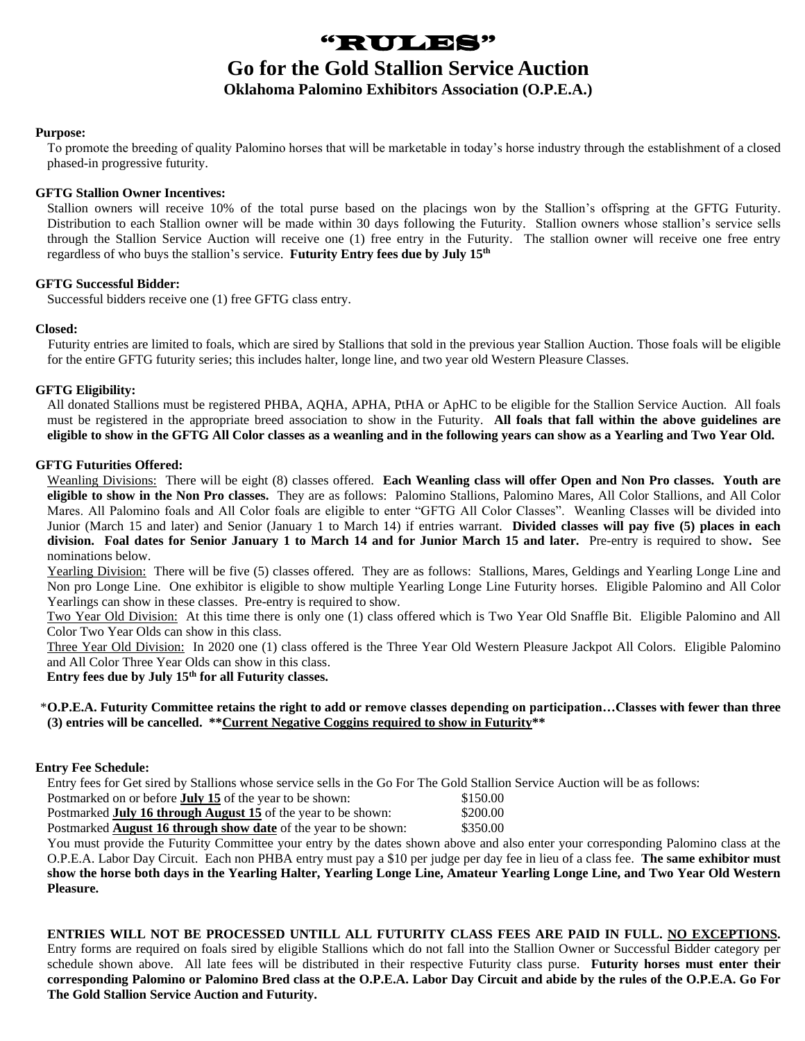# "RULES"

# **Go for the Gold Stallion Service Auction**

**Oklahoma Palomino Exhibitors Association (O.P.E.A.)**

# **Purpose:**

To promote the breeding of quality Palomino horses that will be marketable in today's horse industry through the establishment of a closed phased-in progressive futurity.

# **GFTG Stallion Owner Incentives:**

Stallion owners will receive 10% of the total purse based on the placings won by the Stallion's offspring at the GFTG Futurity. Distribution to each Stallion owner will be made within 30 days following the Futurity. Stallion owners whose stallion's service sells through the Stallion Service Auction will receive one (1) free entry in the Futurity. The stallion owner will receive one free entry regardless of who buys the stallion's service. **Futurity Entry fees due by July 15th**

# **GFTG Successful Bidder:**

Successful bidders receive one (1) free GFTG class entry.

# **Closed:**

Futurity entries are limited to foals, which are sired by Stallions that sold in the previous year Stallion Auction. Those foals will be eligible for the entire GFTG futurity series; this includes halter, longe line, and two year old Western Pleasure Classes.

# **GFTG Eligibility:**

All donated Stallions must be registered PHBA, AQHA, APHA, PtHA or ApHC to be eligible for the Stallion Service Auction. All foals must be registered in the appropriate breed association to show in the Futurity. **All foals that fall within the above guidelines are eligible to show in the GFTG All Color classes as a weanling and in the following years can show as a Yearling and Two Year Old.** 

# **GFTG Futurities Offered:**

Weanling Divisions: There will be eight (8) classes offered. **Each Weanling class will offer Open and Non Pro classes. Youth are eligible to show in the Non Pro classes.** They are as follows: Palomino Stallions, Palomino Mares, All Color Stallions, and All Color Mares. All Palomino foals and All Color foals are eligible to enter "GFTG All Color Classes". Weanling Classes will be divided into Junior (March 15 and later) and Senior (January 1 to March 14) if entries warrant. **Divided classes will pay five (5) places in each division. Foal dates for Senior January 1 to March 14 and for Junior March 15 and later.** Pre-entry is required to show**.** See nominations below.

Yearling Division: There will be five (5) classes offered. They are as follows: Stallions, Mares, Geldings and Yearling Longe Line and Non pro Longe Line. One exhibitor is eligible to show multiple Yearling Longe Line Futurity horses. Eligible Palomino and All Color Yearlings can show in these classes. Pre-entry is required to show.

Two Year Old Division: At this time there is only one (1) class offered which is Two Year Old Snaffle Bit. Eligible Palomino and All Color Two Year Olds can show in this class.

Three Year Old Division: In 2020 one (1) class offered is the Three Year Old Western Pleasure Jackpot All Colors. Eligible Palomino and All Color Three Year Olds can show in this class.

**Entry fees due by July 15th for all Futurity classes.**

# \***O.P.E.A. Futurity Committee retains the right to add or remove classes depending on participation…Classes with fewer than three (3) entries will be cancelled. \*\*Current Negative Coggins required to show in Futurity\*\***

#### **Entry Fee Schedule:**

Entry fees for Get sired by Stallions whose service sells in the Go For The Gold Stallion Service Auction will be as follows:

| Postmarked on or before <b>July 15</b> of the year to be shown:      | \$150.00 |
|----------------------------------------------------------------------|----------|
| Postmarked <b>July 16 through August 15</b> of the year to be shown: | \$200.00 |

Postmarked **August 16 through show date** of the year to be shown: \$350.00

You must provide the Futurity Committee your entry by the dates shown above and also enter your corresponding Palomino class at the O.P.E.A. Labor Day Circuit. Each non PHBA entry must pay a \$10 per judge per day fee in lieu of a class fee. **The same exhibitor must show the horse both days in the Yearling Halter, Yearling Longe Line, Amateur Yearling Longe Line, and Two Year Old Western Pleasure.** 

**ENTRIES WILL NOT BE PROCESSED UNTILL ALL FUTURITY CLASS FEES ARE PAID IN FULL. NO EXCEPTIONS.**  Entry forms are required on foals sired by eligible Stallions which do not fall into the Stallion Owner or Successful Bidder category per schedule shown above. All late fees will be distributed in their respective Futurity class purse. **Futurity horses must enter their corresponding Palomino or Palomino Bred class at the O.P.E.A. Labor Day Circuit and abide by the rules of the O.P.E.A. Go For The Gold Stallion Service Auction and Futurity.**